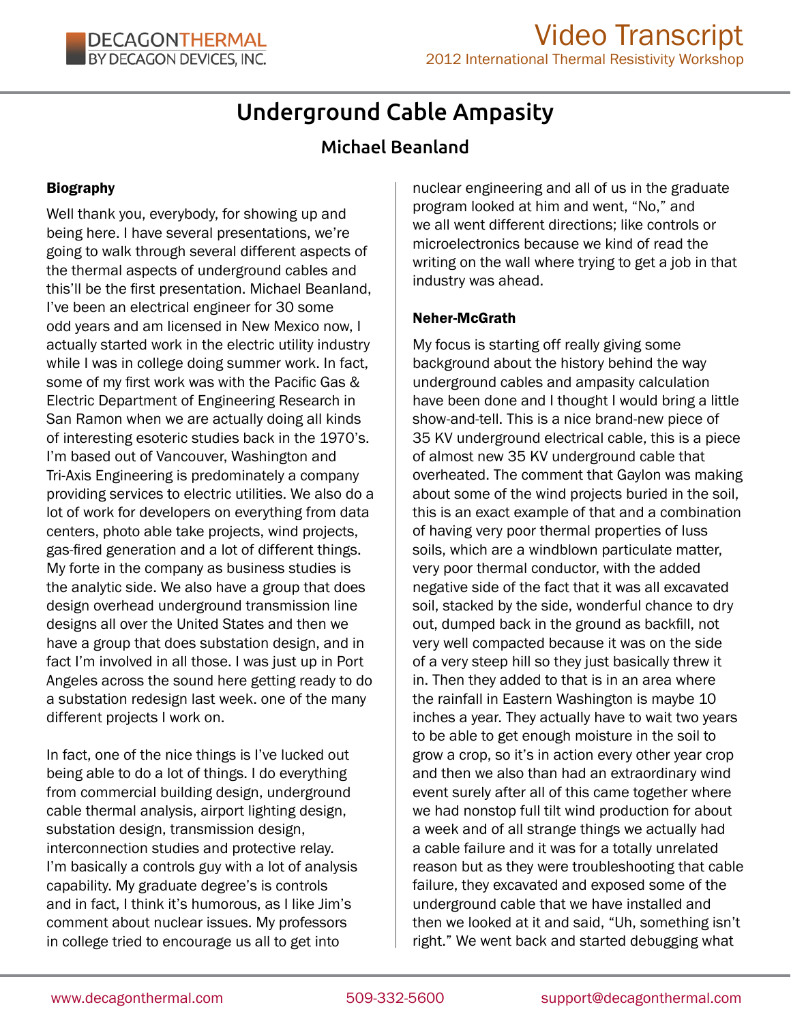# Underground Cable Ampasity

## Michael Beanland

## Biography

Well thank you, everybody, for showing up and being here. I have several presentations, we're going to walk through several different aspects of the thermal aspects of underground cables and this'll be the first presentation. Michael Beanland, I've been an electrical engineer for 30 some odd years and am licensed in New Mexico now, I actually started work in the electric utility industry while I was in college doing summer work. In fact, some of my first work was with the Pacific Gas & Electric Department of Engineering Research in San Ramon when we are actually doing all kinds of interesting esoteric studies back in the 1970's. I'm based out of Vancouver, Washington and Tri-Axis Engineering is predominately a company providing services to electric utilities. We also do a lot of work for developers on everything from data centers, photo able take projects, wind projects, gas-fired generation and a lot of different things. My forte in the company as business studies is the analytic side. We also have a group that does design overhead underground transmission line designs all over the United States and then we have a group that does substation design, and in fact I'm involved in all those. I was just up in Port Angeles across the sound here getting ready to do a substation redesign last week. one of the many different projects I work on.

In fact, one of the nice things is I've lucked out being able to do a lot of things. I do everything from commercial building design, underground cable thermal analysis, airport lighting design, substation design, transmission design, interconnection studies and protective relay. I'm basically a controls guy with a lot of analysis capability. My graduate degree's is controls and in fact, I think it's humorous, as I like Jim's comment about nuclear issues. My professors in college tried to encourage us all to get into

nuclear engineering and all of us in the graduate program looked at him and went, "No," and we all went different directions; like controls or microelectronics because we kind of read the writing on the wall where trying to get a job in that industry was ahead.

## Neher-McGrath

My focus is starting off really giving some background about the history behind the way underground cables and ampasity calculation have been done and I thought I would bring a little show-and-tell. This is a nice brand-new piece of 35 KV underground electrical cable, this is a piece of almost new 35 KV underground cable that overheated. The comment that Gaylon was making about some of the wind projects buried in the soil, this is an exact example of that and a combination of having very poor thermal properties of luss soils, which are a windblown particulate matter, very poor thermal conductor, with the added negative side of the fact that it was all excavated soil, stacked by the side, wonderful chance to dry out, dumped back in the ground as backfill, not very well compacted because it was on the side of a very steep hill so they just basically threw it in. Then they added to that is in an area where the rainfall in Eastern Washington is maybe 10 inches a year. They actually have to wait two years to be able to get enough moisture in the soil to grow a crop, so it's in action every other year crop and then we also than had an extraordinary wind event surely after all of this came together where we had nonstop full tilt wind production for about a week and of all strange things we actually had a cable failure and it was for a totally unrelated reason but as they were troubleshooting that cable failure, they excavated and exposed some of the underground cable that we have installed and then we looked at it and said, "Uh, something isn't right." We went back and started debugging what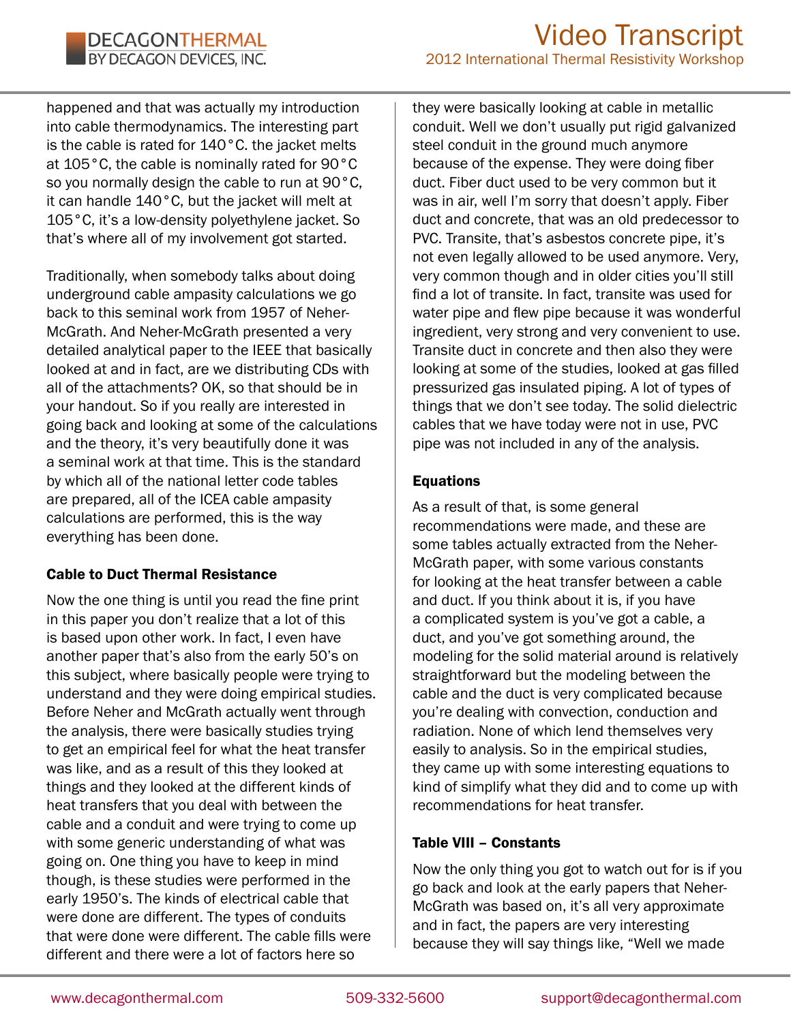happened and that was actually my introduction into cable thermodynamics. The interesting part is the cable is rated for 140°C. the jacket melts at 105°C, the cable is nominally rated for 90°C so you normally design the cable to run at 90°C, it can handle 140°C, but the jacket will melt at 105°C, it's a low-density polyethylene jacket. So that's where all of my involvement got started.

Traditionally, when somebody talks about doing underground cable ampasity calculations we go back to this seminal work from 1957 of Neher-McGrath. And Neher-McGrath presented a very detailed analytical paper to the IEEE that basically looked at and in fact, are we distributing CDs with all of the attachments? OK, so that should be in your handout. So if you really are interested in going back and looking at some of the calculations and the theory, it's very beautifully done it was a seminal work at that time. This is the standard by which all of the national letter code tables are prepared, all of the ICEA cable ampasity calculations are performed, this is the way everything has been done.

## Cable to Duct Thermal Resistance

Now the one thing is until you read the fine print in this paper you don't realize that a lot of this is based upon other work. In fact, I even have another paper that's also from the early 50's on this subject, where basically people were trying to understand and they were doing empirical studies. Before Neher and McGrath actually went through the analysis, there were basically studies trying to get an empirical feel for what the heat transfer was like, and as a result of this they looked at things and they looked at the different kinds of heat transfers that you deal with between the cable and a conduit and were trying to come up with some generic understanding of what was going on. One thing you have to keep in mind though, is these studies were performed in the early 1950's. The kinds of electrical cable that were done are different. The types of conduits that were done were different. The cable fills were different and there were a lot of factors here so

they were basically looking at cable in metallic conduit. Well we don't usually put rigid galvanized steel conduit in the ground much anymore because of the expense. They were doing fiber duct. Fiber duct used to be very common but it was in air, well I'm sorry that doesn't apply. Fiber duct and concrete, that was an old predecessor to PVC. Transite, that's asbestos concrete pipe, it's not even legally allowed to be used anymore. Very, very common though and in older cities you'll still find a lot of transite. In fact, transite was used for water pipe and flew pipe because it was wonderful ingredient, very strong and very convenient to use. Transite duct in concrete and then also they were looking at some of the studies, looked at gas filled pressurized gas insulated piping. A lot of types of things that we don't see today. The solid dielectric cables that we have today were not in use, PVC pipe was not included in any of the analysis.

## Equations

As a result of that, is some general recommendations were made, and these are some tables actually extracted from the Neher-McGrath paper, with some various constants for looking at the heat transfer between a cable and duct. If you think about it is, if you have a complicated system is you've got a cable, a duct, and you've got something around, the modeling for the solid material around is relatively straightforward but the modeling between the cable and the duct is very complicated because you're dealing with convection, conduction and radiation. None of which lend themselves very easily to analysis. So in the empirical studies, they came up with some interesting equations to kind of simplify what they did and to come up with recommendations for heat transfer.

## Table VIII – Constants

Now the only thing you got to watch out for is if you go back and look at the early papers that Neher-McGrath was based on, it's all very approximate and in fact, the papers are very interesting because they will say things like, "Well we made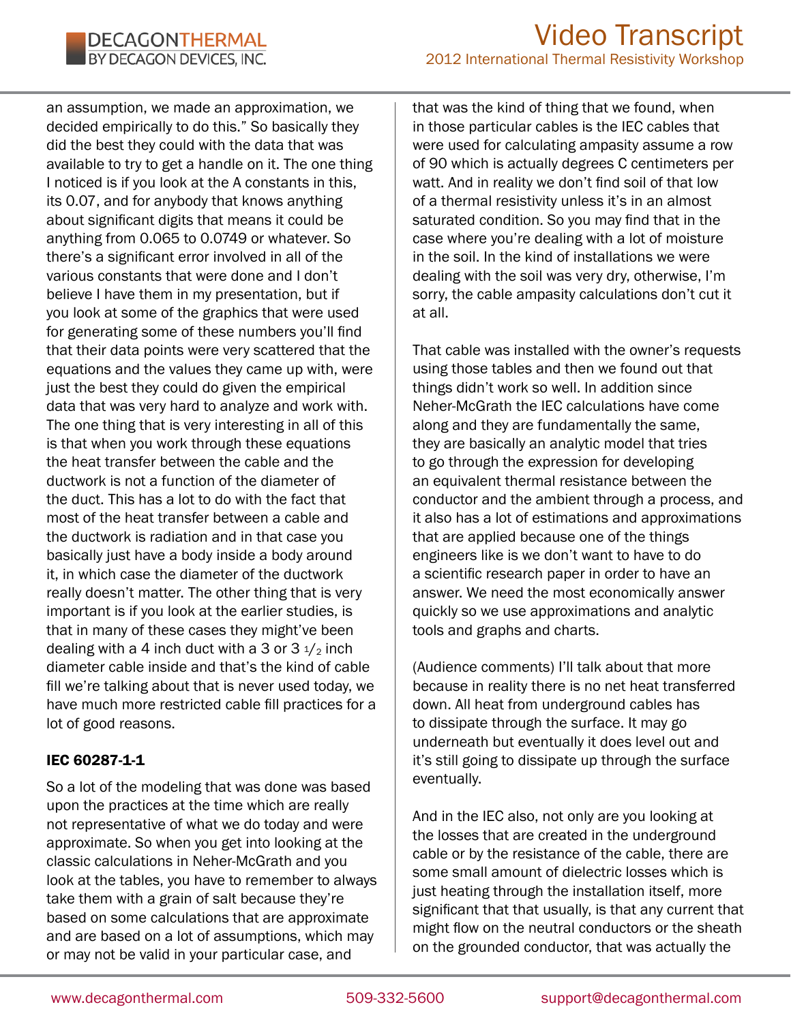an assumption, we made an approximation, we decided empirically to do this." So basically they did the best they could with the data that was available to try to get a handle on it. The one thing I noticed is if you look at the A constants in this, its 0.07, and for anybody that knows anything about significant digits that means it could be anything from 0.065 to 0.0749 or whatever. So there's a significant error involved in all of the various constants that were done and I don't believe I have them in my presentation, but if you look at some of the graphics that were used for generating some of these numbers you'll find that their data points were very scattered that the equations and the values they came up with, were just the best they could do given the empirical data that was very hard to analyze and work with. The one thing that is very interesting in all of this is that when you work through these equations the heat transfer between the cable and the ductwork is not a function of the diameter of the duct. This has a lot to do with the fact that most of the heat transfer between a cable and the ductwork is radiation and in that case you basically just have a body inside a body around it, in which case the diameter of the ductwork really doesn't matter. The other thing that is very important is if you look at the earlier studies, is that in many of these cases they might've been dealing with a 4 inch duct with a 3 or  $3\frac{1}{2}$  inch diameter cable inside and that's the kind of cable fill we're talking about that is never used today, we have much more restricted cable fill practices for a lot of good reasons.

## IEC 60287-1-1

So a lot of the modeling that was done was based upon the practices at the time which are really not representative of what we do today and were approximate. So when you get into looking at the classic calculations in Neher-McGrath and you look at the tables, you have to remember to always take them with a grain of salt because they're based on some calculations that are approximate and are based on a lot of assumptions, which may or may not be valid in your particular case, and

that was the kind of thing that we found, when in those particular cables is the IEC cables that were used for calculating ampasity assume a row of 90 which is actually degrees C centimeters per watt. And in reality we don't find soil of that low of a thermal resistivity unless it's in an almost saturated condition. So you may find that in the case where you're dealing with a lot of moisture in the soil. In the kind of installations we were dealing with the soil was very dry, otherwise, I'm sorry, the cable ampasity calculations don't cut it at all.

That cable was installed with the owner's requests using those tables and then we found out that things didn't work so well. In addition since Neher-McGrath the IEC calculations have come along and they are fundamentally the same, they are basically an analytic model that tries to go through the expression for developing an equivalent thermal resistance between the conductor and the ambient through a process, and it also has a lot of estimations and approximations that are applied because one of the things engineers like is we don't want to have to do a scientific research paper in order to have an answer. We need the most economically answer quickly so we use approximations and analytic tools and graphs and charts.

(Audience comments) I'll talk about that more because in reality there is no net heat transferred down. All heat from underground cables has to dissipate through the surface. It may go underneath but eventually it does level out and it's still going to dissipate up through the surface eventually.

And in the IEC also, not only are you looking at the losses that are created in the underground cable or by the resistance of the cable, there are some small amount of dielectric losses which is just heating through the installation itself, more significant that that usually, is that any current that might flow on the neutral conductors or the sheath on the grounded conductor, that was actually the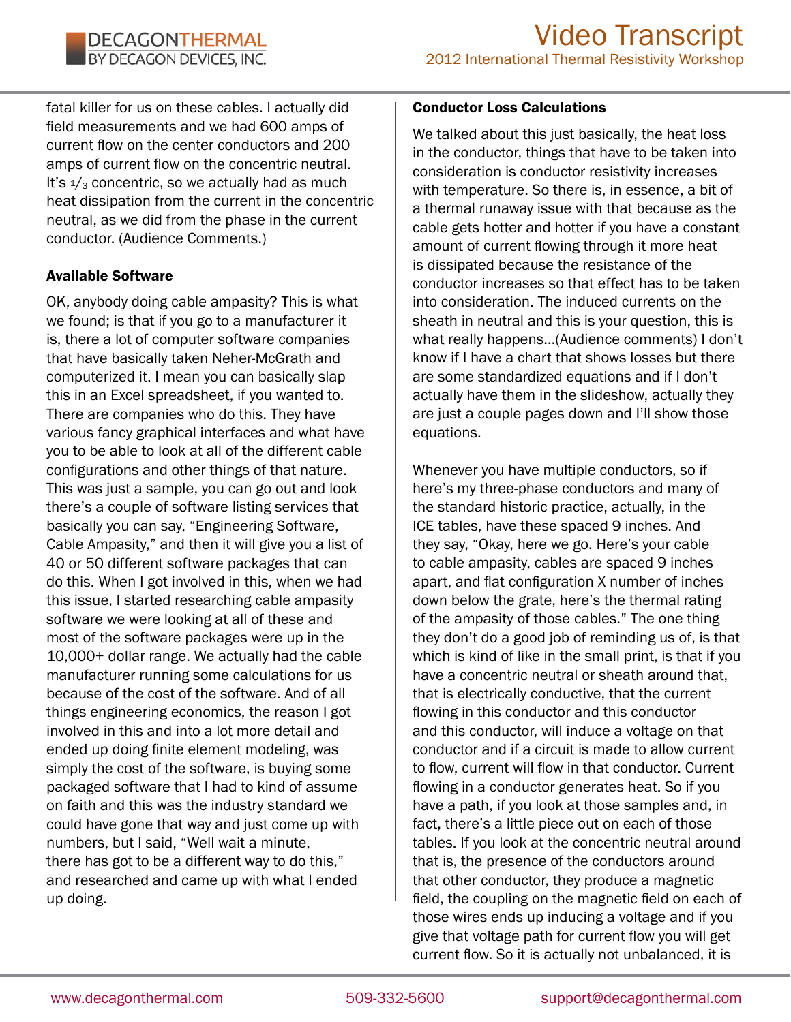fatal killer for us on these cables. I actually did field measurements and we had 600 amps of current flow on the center conductors and 200 amps of current flow on the concentric neutral. It's  $\frac{1}{3}$  concentric, so we actually had as much heat dissipation from the current in the concentric neutral, as we did from the phase in the current conductor. (Audience Comments.)

## Available Software

OK, anybody doing cable ampasity? This is what we found; is that if you go to a manufacturer it is, there a lot of computer software companies that have basically taken Neher-McGrath and computerized it. I mean you can basically slap this in an Excel spreadsheet, if you wanted to. There are companies who do this. They have various fancy graphical interfaces and what have you to be able to look at all of the different cable configurations and other things of that nature. This was just a sample, you can go out and look there's a couple of software listing services that basically you can say, "Engineering Software, Cable Ampasity," and then it will give you a list of 40 or 50 different software packages that can do this. When I got involved in this, when we had this issue, I started researching cable ampasity software we were looking at all of these and most of the software packages were up in the 10,000+ dollar range. We actually had the cable manufacturer running some calculations for us because of the cost of the software. And of all things engineering economics, the reason I got involved in this and into a lot more detail and ended up doing finite element modeling, was simply the cost of the software, is buying some packaged software that I had to kind of assume on faith and this was the industry standard we could have gone that way and just come up with numbers, but I said, "Well wait a minute, there has got to be a different way to do this," and researched and came up with what I ended up doing.

#### Conductor Loss Calculations

We talked about this just basically, the heat loss in the conductor, things that have to be taken into consideration is conductor resistivity increases with temperature. So there is, in essence, a bit of a thermal runaway issue with that because as the cable gets hotter and hotter if you have a constant amount of current flowing through it more heat is dissipated because the resistance of the conductor increases so that effect has to be taken into consideration. The induced currents on the sheath in neutral and this is your question, this is what really happens...(Audience comments) I don't know if I have a chart that shows losses but there are some standardized equations and if I don't actually have them in the slideshow, actually they are just a couple pages down and I'll show those equations.

Whenever you have multiple conductors, so if here's my three-phase conductors and many of the standard historic practice, actually, in the ICE tables, have these spaced 9 inches. And they say, "Okay, here we go. Here's your cable to cable ampasity, cables are spaced 9 inches apart, and flat configuration X number of inches down below the grate, here's the thermal rating of the ampasity of those cables." The one thing they don't do a good job of reminding us of, is that which is kind of like in the small print, is that if you have a concentric neutral or sheath around that, that is electrically conductive, that the current flowing in this conductor and this conductor and this conductor, will induce a voltage on that conductor and if a circuit is made to allow current to flow, current will flow in that conductor. Current flowing in a conductor generates heat. So if you have a path, if you look at those samples and, in fact, there's a little piece out on each of those tables. If you look at the concentric neutral around that is, the presence of the conductors around that other conductor, they produce a magnetic field, the coupling on the magnetic field on each of those wires ends up inducing a voltage and if you give that voltage path for current flow you will get current flow. So it is actually not unbalanced, it is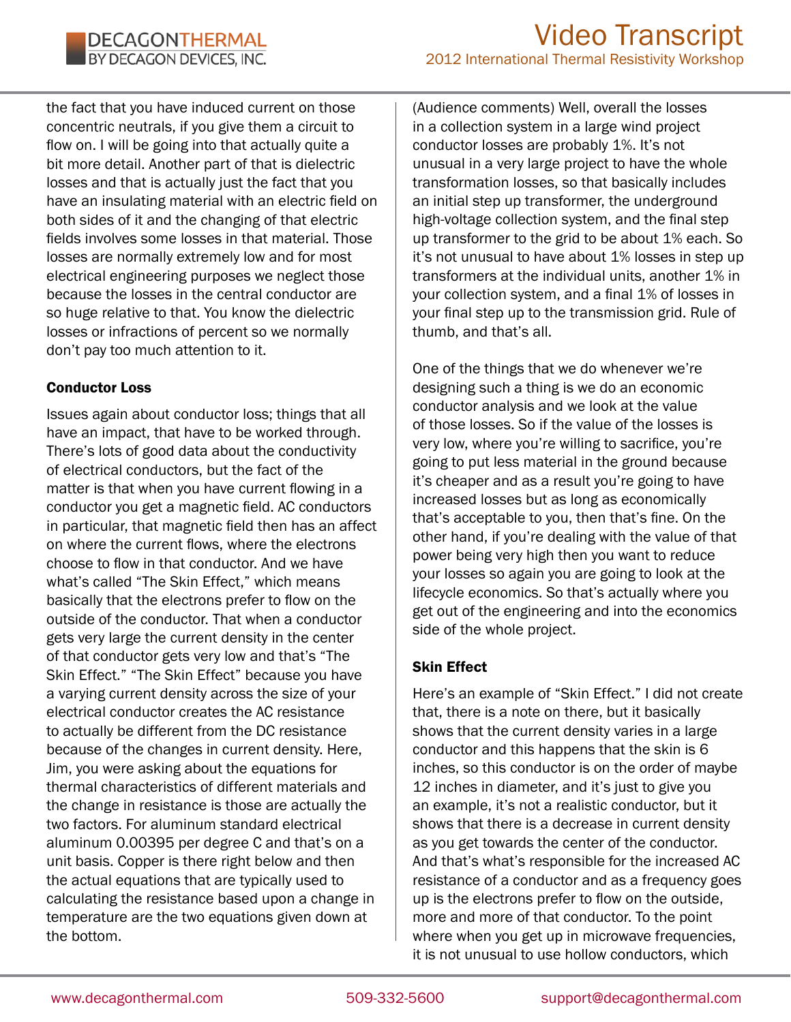the fact that you have induced current on those concentric neutrals, if you give them a circuit to flow on. I will be going into that actually quite a bit more detail. Another part of that is dielectric losses and that is actually just the fact that you have an insulating material with an electric field on both sides of it and the changing of that electric fields involves some losses in that material. Those losses are normally extremely low and for most electrical engineering purposes we neglect those because the losses in the central conductor are so huge relative to that. You know the dielectric losses or infractions of percent so we normally don't pay too much attention to it.

## Conductor Loss

Issues again about conductor loss; things that all have an impact, that have to be worked through. There's lots of good data about the conductivity of electrical conductors, but the fact of the matter is that when you have current flowing in a conductor you get a magnetic field. AC conductors in particular, that magnetic field then has an affect on where the current flows, where the electrons choose to flow in that conductor. And we have what's called "The Skin Effect," which means basically that the electrons prefer to flow on the outside of the conductor. That when a conductor gets very large the current density in the center of that conductor gets very low and that's "The Skin Effect." "The Skin Effect" because you have a varying current density across the size of your electrical conductor creates the AC resistance to actually be different from the DC resistance because of the changes in current density. Here, Jim, you were asking about the equations for thermal characteristics of different materials and the change in resistance is those are actually the two factors. For aluminum standard electrical aluminum 0.00395 per degree C and that's on a unit basis. Copper is there right below and then the actual equations that are typically used to calculating the resistance based upon a change in temperature are the two equations given down at the bottom.

(Audience comments) Well, overall the losses in a collection system in a large wind project conductor losses are probably 1%. It's not unusual in a very large project to have the whole transformation losses, so that basically includes an initial step up transformer, the underground high-voltage collection system, and the final step up transformer to the grid to be about 1% each. So it's not unusual to have about 1% losses in step up transformers at the individual units, another 1% in your collection system, and a final 1% of losses in your final step up to the transmission grid. Rule of thumb, and that's all.

One of the things that we do whenever we're designing such a thing is we do an economic conductor analysis and we look at the value of those losses. So if the value of the losses is very low, where you're willing to sacrifice, you're going to put less material in the ground because it's cheaper and as a result you're going to have increased losses but as long as economically that's acceptable to you, then that's fine. On the other hand, if you're dealing with the value of that power being very high then you want to reduce your losses so again you are going to look at the lifecycle economics. So that's actually where you get out of the engineering and into the economics side of the whole project.

## Skin Effect

Here's an example of "Skin Effect." I did not create that, there is a note on there, but it basically shows that the current density varies in a large conductor and this happens that the skin is 6 inches, so this conductor is on the order of maybe 12 inches in diameter, and it's just to give you an example, it's not a realistic conductor, but it shows that there is a decrease in current density as you get towards the center of the conductor. And that's what's responsible for the increased AC resistance of a conductor and as a frequency goes up is the electrons prefer to flow on the outside, more and more of that conductor. To the point where when you get up in microwave frequencies, it is not unusual to use hollow conductors, which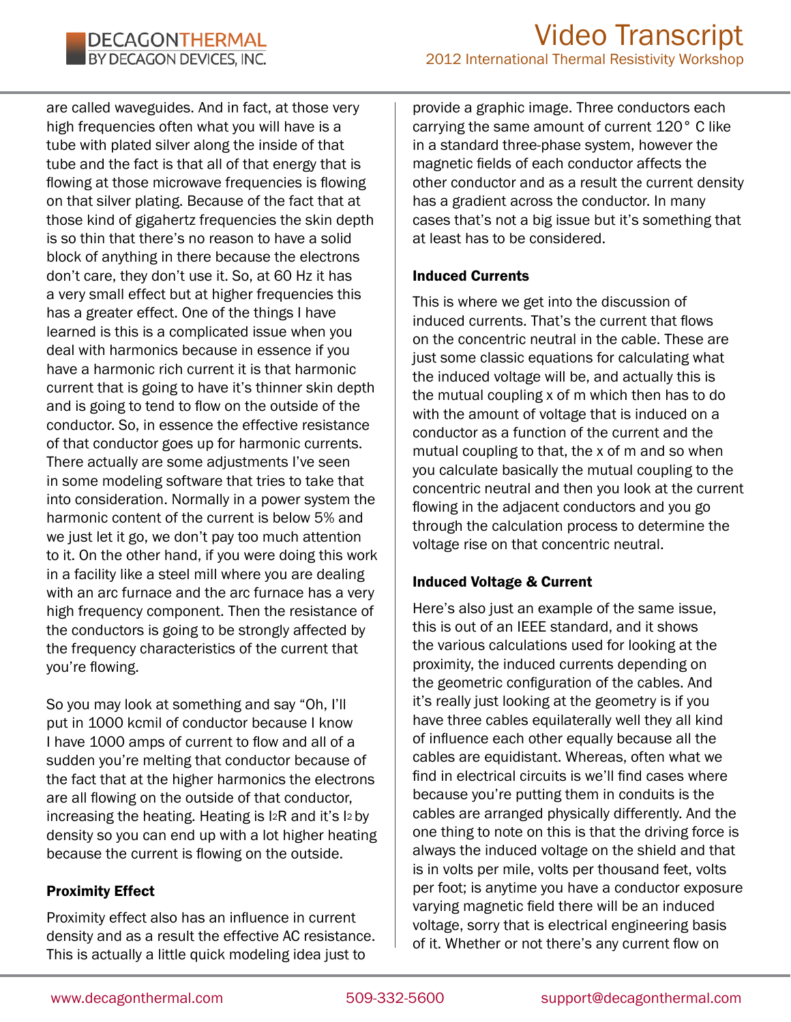are called waveguides. And in fact, at those very high frequencies often what you will have is a tube with plated silver along the inside of that tube and the fact is that all of that energy that is flowing at those microwave frequencies is flowing on that silver plating. Because of the fact that at those kind of gigahertz frequencies the skin depth is so thin that there's no reason to have a solid block of anything in there because the electrons don't care, they don't use it. So, at 60 Hz it has a very small effect but at higher frequencies this has a greater effect. One of the things I have learned is this is a complicated issue when you deal with harmonics because in essence if you have a harmonic rich current it is that harmonic current that is going to have it's thinner skin depth and is going to tend to flow on the outside of the conductor. So, in essence the effective resistance of that conductor goes up for harmonic currents. There actually are some adjustments I've seen in some modeling software that tries to take that into consideration. Normally in a power system the harmonic content of the current is below 5% and we just let it go, we don't pay too much attention to it. On the other hand, if you were doing this work in a facility like a steel mill where you are dealing with an arc furnace and the arc furnace has a very high frequency component. Then the resistance of the conductors is going to be strongly affected by the frequency characteristics of the current that you're flowing.

So you may look at something and say "Oh, I'll put in 1000 kcmil of conductor because I know I have 1000 amps of current to flow and all of a sudden you're melting that conductor because of the fact that at the higher harmonics the electrons are all flowing on the outside of that conductor, increasing the heating. Heating is I2R and it's I2 by density so you can end up with a lot higher heating because the current is flowing on the outside.

## Proximity Effect

Proximity effect also has an influence in current density and as a result the effective AC resistance. This is actually a little quick modeling idea just to

provide a graphic image. Three conductors each carrying the same amount of current 120° C like in a standard three-phase system, however the magnetic fields of each conductor affects the other conductor and as a result the current density has a gradient across the conductor. In many cases that's not a big issue but it's something that at least has to be considered.

#### Induced Currents

This is where we get into the discussion of induced currents. That's the current that flows on the concentric neutral in the cable. These are just some classic equations for calculating what the induced voltage will be, and actually this is the mutual coupling x of m which then has to do with the amount of voltage that is induced on a conductor as a function of the current and the mutual coupling to that, the x of m and so when you calculate basically the mutual coupling to the concentric neutral and then you look at the current flowing in the adjacent conductors and you go through the calculation process to determine the voltage rise on that concentric neutral.

## Induced Voltage & Current

Here's also just an example of the same issue, this is out of an IEEE standard, and it shows the various calculations used for looking at the proximity, the induced currents depending on the geometric configuration of the cables. And it's really just looking at the geometry is if you have three cables equilaterally well they all kind of influence each other equally because all the cables are equidistant. Whereas, often what we find in electrical circuits is we'll find cases where because you're putting them in conduits is the cables are arranged physically differently. And the one thing to note on this is that the driving force is always the induced voltage on the shield and that is in volts per mile, volts per thousand feet, volts per foot; is anytime you have a conductor exposure varying magnetic field there will be an induced voltage, sorry that is electrical engineering basis of it. Whether or not there's any current flow on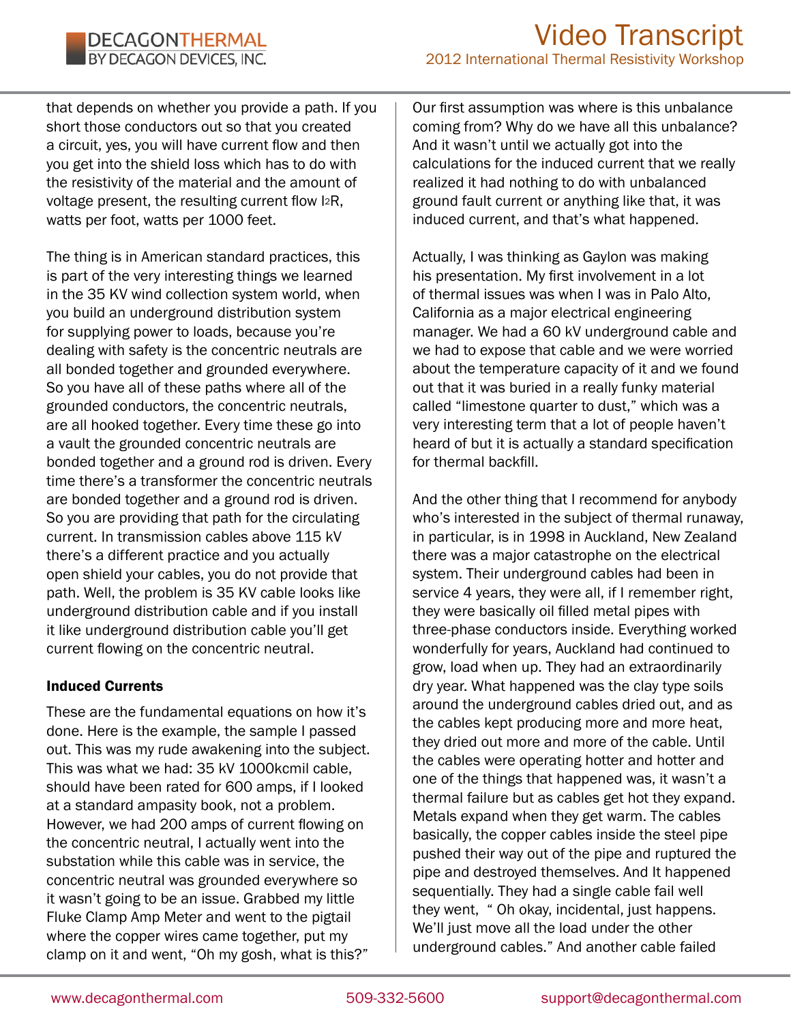that depends on whether you provide a path. If you short those conductors out so that you created a circuit, yes, you will have current flow and then you get into the shield loss which has to do with the resistivity of the material and the amount of voltage present, the resulting current flow I2R, watts per foot, watts per 1000 feet.

The thing is in American standard practices, this is part of the very interesting things we learned in the 35 KV wind collection system world, when you build an underground distribution system for supplying power to loads, because you're dealing with safety is the concentric neutrals are all bonded together and grounded everywhere. So you have all of these paths where all of the grounded conductors, the concentric neutrals, are all hooked together. Every time these go into a vault the grounded concentric neutrals are bonded together and a ground rod is driven. Every time there's a transformer the concentric neutrals are bonded together and a ground rod is driven. So you are providing that path for the circulating current. In transmission cables above 115 kV there's a different practice and you actually open shield your cables, you do not provide that path. Well, the problem is 35 KV cable looks like underground distribution cable and if you install it like underground distribution cable you'll get current flowing on the concentric neutral.

#### Induced Currents

These are the fundamental equations on how it's done. Here is the example, the sample I passed out. This was my rude awakening into the subject. This was what we had: 35 kV 1000kcmil cable, should have been rated for 600 amps, if I looked at a standard ampasity book, not a problem. However, we had 200 amps of current flowing on the concentric neutral, I actually went into the substation while this cable was in service, the concentric neutral was grounded everywhere so it wasn't going to be an issue. Grabbed my little Fluke Clamp Amp Meter and went to the pigtail where the copper wires came together, put my clamp on it and went, "Oh my gosh, what is this?"

Our first assumption was where is this unbalance coming from? Why do we have all this unbalance? And it wasn't until we actually got into the calculations for the induced current that we really realized it had nothing to do with unbalanced ground fault current or anything like that, it was induced current, and that's what happened.

Actually, I was thinking as Gaylon was making his presentation. My first involvement in a lot of thermal issues was when I was in Palo Alto, California as a major electrical engineering manager. We had a 60 kV underground cable and we had to expose that cable and we were worried about the temperature capacity of it and we found out that it was buried in a really funky material called "limestone quarter to dust," which was a very interesting term that a lot of people haven't heard of but it is actually a standard specification for thermal backfill.

And the other thing that I recommend for anybody who's interested in the subject of thermal runaway, in particular, is in 1998 in Auckland, New Zealand there was a major catastrophe on the electrical system. Their underground cables had been in service 4 years, they were all, if I remember right, they were basically oil filled metal pipes with three-phase conductors inside. Everything worked wonderfully for years, Auckland had continued to grow, load when up. They had an extraordinarily dry year. What happened was the clay type soils around the underground cables dried out, and as the cables kept producing more and more heat, they dried out more and more of the cable. Until the cables were operating hotter and hotter and one of the things that happened was, it wasn't a thermal failure but as cables get hot they expand. Metals expand when they get warm. The cables basically, the copper cables inside the steel pipe pushed their way out of the pipe and ruptured the pipe and destroyed themselves. And It happened sequentially. They had a single cable fail well they went, " Oh okay, incidental, just happens. We'll just move all the load under the other underground cables." And another cable failed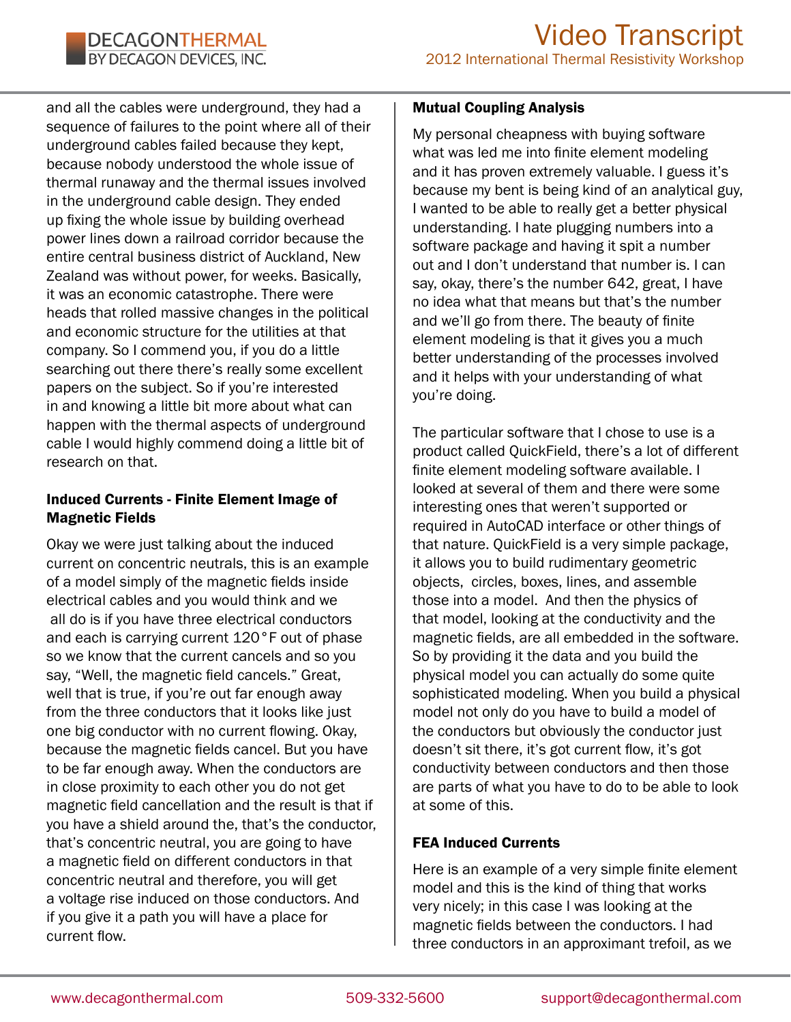and all the cables were underground, they had a sequence of failures to the point where all of their underground cables failed because they kept, because nobody understood the whole issue of thermal runaway and the thermal issues involved in the underground cable design. They ended up fixing the whole issue by building overhead power lines down a railroad corridor because the entire central business district of Auckland, New Zealand was without power, for weeks. Basically, it was an economic catastrophe. There were heads that rolled massive changes in the political and economic structure for the utilities at that company. So I commend you, if you do a little searching out there there's really some excellent papers on the subject. So if you're interested in and knowing a little bit more about what can happen with the thermal aspects of underground cable I would highly commend doing a little bit of research on that.

## Induced Currents - Finite Element Image of Magnetic Fields

Okay we were just talking about the induced current on concentric neutrals, this is an example of a model simply of the magnetic fields inside electrical cables and you would think and we all do is if you have three electrical conductors and each is carrying current 120°F out of phase so we know that the current cancels and so you say, "Well, the magnetic field cancels." Great, well that is true, if you're out far enough away from the three conductors that it looks like just one big conductor with no current flowing. Okay, because the magnetic fields cancel. But you have to be far enough away. When the conductors are in close proximity to each other you do not get magnetic field cancellation and the result is that if you have a shield around the, that's the conductor, that's concentric neutral, you are going to have a magnetic field on different conductors in that concentric neutral and therefore, you will get a voltage rise induced on those conductors. And if you give it a path you will have a place for current flow.

#### Mutual Coupling Analysis

My personal cheapness with buying software what was led me into finite element modeling and it has proven extremely valuable. I guess it's because my bent is being kind of an analytical guy, I wanted to be able to really get a better physical understanding. I hate plugging numbers into a software package and having it spit a number out and I don't understand that number is. I can say, okay, there's the number 642, great, I have no idea what that means but that's the number and we'll go from there. The beauty of finite element modeling is that it gives you a much better understanding of the processes involved and it helps with your understanding of what you're doing.

The particular software that I chose to use is a product called QuickField, there's a lot of different finite element modeling software available. I looked at several of them and there were some interesting ones that weren't supported or required in AutoCAD interface or other things of that nature. QuickField is a very simple package, it allows you to build rudimentary geometric objects, circles, boxes, lines, and assemble those into a model. And then the physics of that model, looking at the conductivity and the magnetic fields, are all embedded in the software. So by providing it the data and you build the physical model you can actually do some quite sophisticated modeling. When you build a physical model not only do you have to build a model of the conductors but obviously the conductor just doesn't sit there, it's got current flow, it's got conductivity between conductors and then those are parts of what you have to do to be able to look at some of this.

## FEA Induced Currents

Here is an example of a very simple finite element model and this is the kind of thing that works very nicely; in this case I was looking at the magnetic fields between the conductors. I had three conductors in an approximant trefoil, as we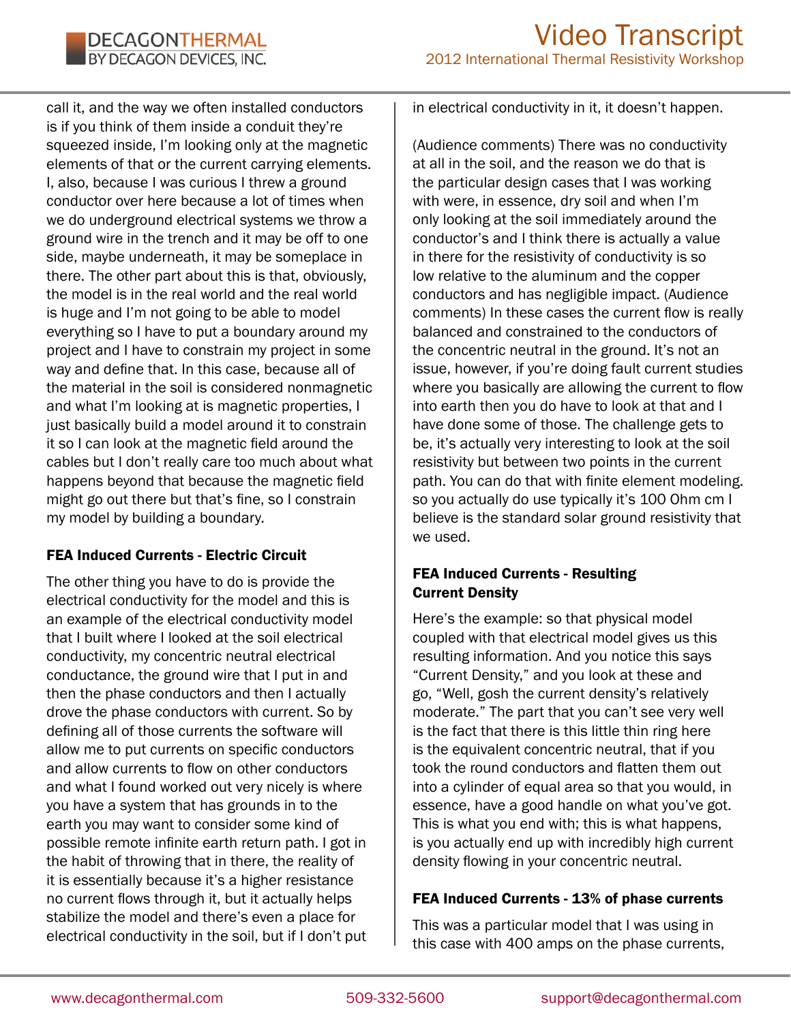call it, and the way we often installed conductors is if you think of them inside a conduit they're squeezed inside, I'm looking only at the magnetic elements of that or the current carrying elements. I, also, because I was curious I threw a ground conductor over here because a lot of times when we do underground electrical systems we throw a ground wire in the trench and it may be off to one side, maybe underneath, it may be someplace in there. The other part about this is that, obviously, the model is in the real world and the real world is huge and I'm not going to be able to model everything so I have to put a boundary around my project and I have to constrain my project in some way and define that. In this case, because all of the material in the soil is considered nonmagnetic and what I'm looking at is magnetic properties, I just basically build a model around it to constrain it so I can look at the magnetic field around the cables but I don't really care too much about what happens beyond that because the magnetic field might go out there but that's fine, so I constrain my model by building a boundary.

## FEA Induced Currents - Electric Circuit

The other thing you have to do is provide the electrical conductivity for the model and this is an example of the electrical conductivity model that I built where I looked at the soil electrical conductivity, my concentric neutral electrical conductance, the ground wire that I put in and then the phase conductors and then I actually drove the phase conductors with current. So by defining all of those currents the software will allow me to put currents on specific conductors and allow currents to flow on other conductors and what I found worked out very nicely is where you have a system that has grounds in to the earth you may want to consider some kind of possible remote infinite earth return path. I got in the habit of throwing that in there, the reality of it is essentially because it's a higher resistance no current flows through it, but it actually helps stabilize the model and there's even a place for electrical conductivity in the soil, but if I don't put in electrical conductivity in it, it doesn't happen.

(Audience comments) There was no conductivity at all in the soil, and the reason we do that is the particular design cases that I was working with were, in essence, dry soil and when I'm only looking at the soil immediately around the conductor's and I think there is actually a value in there for the resistivity of conductivity is so low relative to the aluminum and the copper conductors and has negligible impact. (Audience comments) In these cases the current flow is really balanced and constrained to the conductors of the concentric neutral in the ground. It's not an issue, however, if you're doing fault current studies where you basically are allowing the current to flow into earth then you do have to look at that and I have done some of those. The challenge gets to be, it's actually very interesting to look at the soil resistivity but between two points in the current path. You can do that with finite element modeling. so you actually do use typically it's 100 Ohm cm I believe is the standard solar ground resistivity that we used.

## FEA Induced Currents - Resulting Current Density

Here's the example: so that physical model coupled with that electrical model gives us this resulting information. And you notice this says "Current Density," and you look at these and go, "Well, gosh the current density's relatively moderate." The part that you can't see very well is the fact that there is this little thin ring here is the equivalent concentric neutral, that if you took the round conductors and flatten them out into a cylinder of equal area so that you would, in essence, have a good handle on what you've got. This is what you end with; this is what happens, is you actually end up with incredibly high current density flowing in your concentric neutral.

## FEA Induced Currents - 13% of phase currents

This was a particular model that I was using in this case with 400 amps on the phase currents,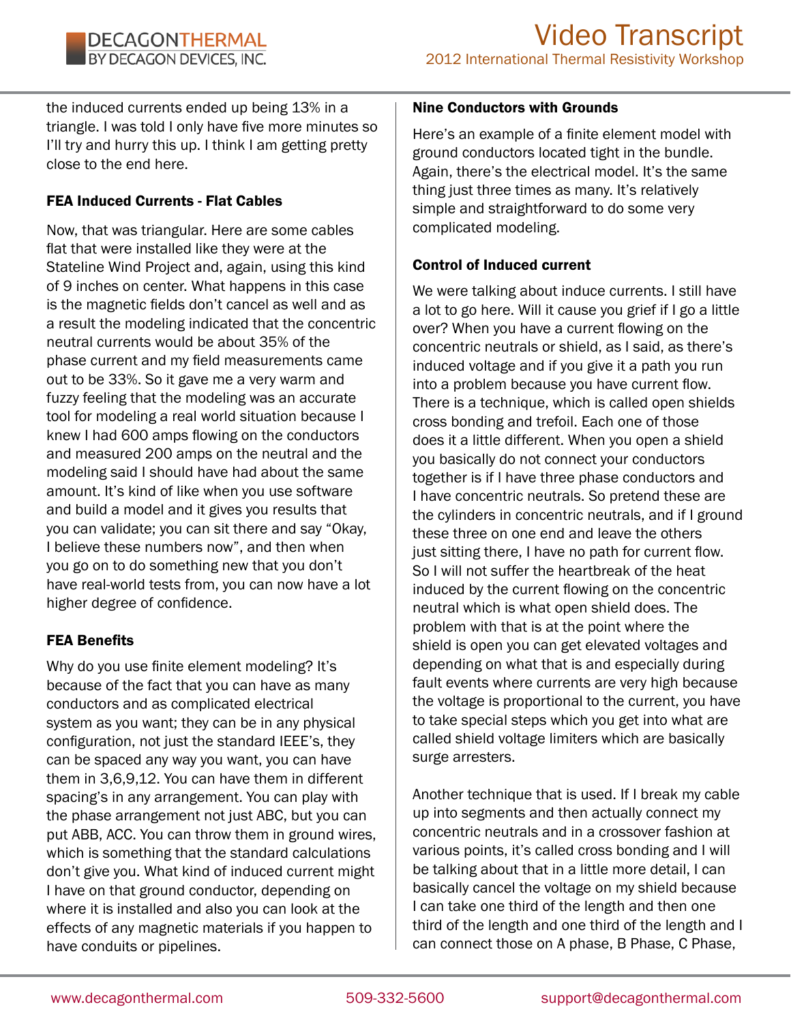the induced currents ended up being 13% in a triangle. I was told I only have five more minutes so I'll try and hurry this up. I think I am getting pretty close to the end here.

## FEA Induced Currents - Flat Cables

Now, that was triangular. Here are some cables flat that were installed like they were at the Stateline Wind Project and, again, using this kind of 9 inches on center. What happens in this case is the magnetic fields don't cancel as well and as a result the modeling indicated that the concentric neutral currents would be about 35% of the phase current and my field measurements came out to be 33%. So it gave me a very warm and fuzzy feeling that the modeling was an accurate tool for modeling a real world situation because I knew I had 600 amps flowing on the conductors and measured 200 amps on the neutral and the modeling said I should have had about the same amount. It's kind of like when you use software and build a model and it gives you results that you can validate; you can sit there and say "Okay, I believe these numbers now", and then when you go on to do something new that you don't have real-world tests from, you can now have a lot higher degree of confidence.

## FEA Benefits

Why do you use finite element modeling? It's because of the fact that you can have as many conductors and as complicated electrical system as you want; they can be in any physical configuration, not just the standard IEEE's, they can be spaced any way you want, you can have them in 3,6,9,12. You can have them in different spacing's in any arrangement. You can play with the phase arrangement not just ABC, but you can put ABB, ACC. You can throw them in ground wires, which is something that the standard calculations don't give you. What kind of induced current might I have on that ground conductor, depending on where it is installed and also you can look at the effects of any magnetic materials if you happen to have conduits or pipelines.

## Nine Conductors with Grounds

Here's an example of a finite element model with ground conductors located tight in the bundle. Again, there's the electrical model. It's the same thing just three times as many. It's relatively simple and straightforward to do some very complicated modeling.

## Control of Induced current

We were talking about induce currents. I still have a lot to go here. Will it cause you grief if I go a little over? When you have a current flowing on the concentric neutrals or shield, as I said, as there's induced voltage and if you give it a path you run into a problem because you have current flow. There is a technique, which is called open shields cross bonding and trefoil. Each one of those does it a little different. When you open a shield you basically do not connect your conductors together is if I have three phase conductors and I have concentric neutrals. So pretend these are the cylinders in concentric neutrals, and if I ground these three on one end and leave the others just sitting there, I have no path for current flow. So I will not suffer the heartbreak of the heat induced by the current flowing on the concentric neutral which is what open shield does. The problem with that is at the point where the shield is open you can get elevated voltages and depending on what that is and especially during fault events where currents are very high because the voltage is proportional to the current, you have to take special steps which you get into what are called shield voltage limiters which are basically surge arresters.

Another technique that is used. If I break my cable up into segments and then actually connect my concentric neutrals and in a crossover fashion at various points, it's called cross bonding and I will be talking about that in a little more detail, I can basically cancel the voltage on my shield because I can take one third of the length and then one third of the length and one third of the length and I can connect those on A phase, B Phase, C Phase,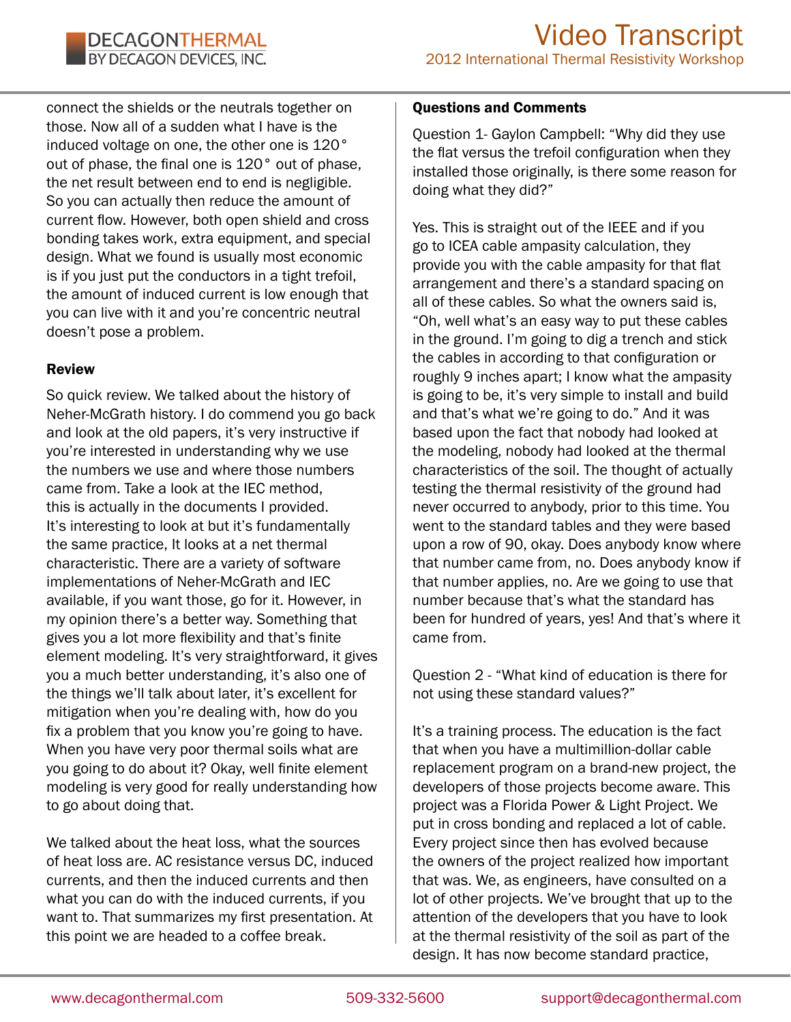connect the shields or the neutrals together on those. Now all of a sudden what I have is the induced voltage on one, the other one is 120° out of phase, the final one is 120° out of phase, the net result between end to end is negligible. So you can actually then reduce the amount of current flow. However, both open shield and cross bonding takes work, extra equipment, and special design. What we found is usually most economic is if you just put the conductors in a tight trefoil, the amount of induced current is low enough that you can live with it and you're concentric neutral doesn't pose a problem.

#### Review

So quick review. We talked about the history of Neher-McGrath history. I do commend you go back and look at the old papers, it's very instructive if you're interested in understanding why we use the numbers we use and where those numbers came from. Take a look at the IEC method, this is actually in the documents I provided. It's interesting to look at but it's fundamentally the same practice, It looks at a net thermal characteristic. There are a variety of software implementations of Neher-McGrath and IEC available, if you want those, go for it. However, in my opinion there's a better way. Something that gives you a lot more flexibility and that's finite element modeling. It's very straightforward, it gives you a much better understanding, it's also one of the things we'll talk about later, it's excellent for mitigation when you're dealing with, how do you fix a problem that you know you're going to have. When you have very poor thermal soils what are you going to do about it? Okay, well finite element modeling is very good for really understanding how to go about doing that.

We talked about the heat loss, what the sources of heat loss are. AC resistance versus DC, induced currents, and then the induced currents and then what you can do with the induced currents, if you want to. That summarizes my first presentation. At this point we are headed to a coffee break.

#### Questions and Comments

Question 1- Gaylon Campbell: "Why did they use the flat versus the trefoil configuration when they installed those originally, is there some reason for doing what they did?"

Yes. This is straight out of the IEEE and if you go to ICEA cable ampasity calculation, they provide you with the cable ampasity for that flat arrangement and there's a standard spacing on all of these cables. So what the owners said is, "Oh, well what's an easy way to put these cables in the ground. I'm going to dig a trench and stick the cables in according to that configuration or roughly 9 inches apart; I know what the ampasity is going to be, it's very simple to install and build and that's what we're going to do." And it was based upon the fact that nobody had looked at the modeling, nobody had looked at the thermal characteristics of the soil. The thought of actually testing the thermal resistivity of the ground had never occurred to anybody, prior to this time. You went to the standard tables and they were based upon a row of 90, okay. Does anybody know where that number came from, no. Does anybody know if that number applies, no. Are we going to use that number because that's what the standard has been for hundred of years, yes! And that's where it came from.

Question 2 - "What kind of education is there for not using these standard values?"

It's a training process. The education is the fact that when you have a multimillion-dollar cable replacement program on a brand-new project, the developers of those projects become aware. This project was a Florida Power & Light Project. We put in cross bonding and replaced a lot of cable. Every project since then has evolved because the owners of the project realized how important that was. We, as engineers, have consulted on a lot of other projects. We've brought that up to the attention of the developers that you have to look at the thermal resistivity of the soil as part of the design. It has now become standard practice,